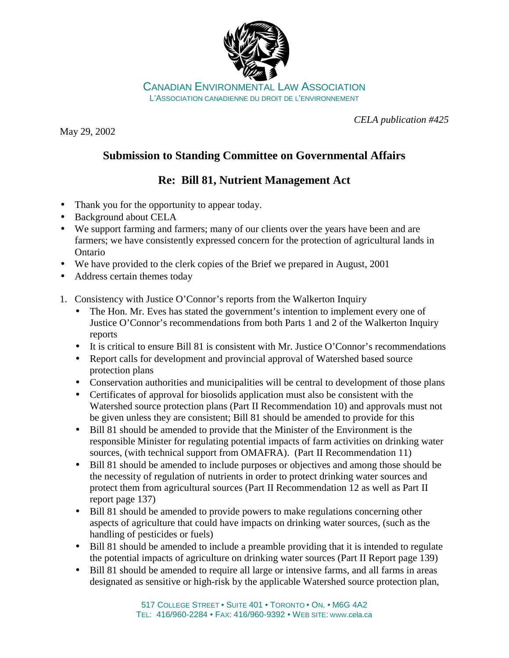

CANADIAN ENVIRONMENTAL LAW ASSOCIATION L'ASSOCIATION CANADIENNE DU DROIT DE L'ENVIRONNEMENT

May 29, 2002

*CELA publication #425*

## **Submission to Standing Committee on Governmental Affairs**

## **Re: Bill 81, Nutrient Management Act**

- Thank you for the opportunity to appear today.
- Background about CELA
- We support farming and farmers; many of our clients over the years have been and are farmers; we have consistently expressed concern for the protection of agricultural lands in Ontario
- We have provided to the clerk copies of the Brief we prepared in August, 2001
- Address certain themes today
- 1. Consistency with Justice O'Connor's reports from the Walkerton Inquiry
	- The Hon. Mr. Eves has stated the government's intention to implement every one of Justice O'Connor's recommendations from both Parts 1 and 2 of the Walkerton Inquiry reports
	- It is critical to ensure Bill 81 is consistent with Mr. Justice O'Connor's recommendations
	- Report calls for development and provincial approval of Watershed based source protection plans
	- Conservation authorities and municipalities will be central to development of those plans
	- Certificates of approval for biosolids application must also be consistent with the Watershed source protection plans (Part II Recommendation 10) and approvals must not be given unless they are consistent; Bill 81 should be amended to provide for this
	- Bill 81 should be amended to provide that the Minister of the Environment is the responsible Minister for regulating potential impacts of farm activities on drinking water sources, (with technical support from OMAFRA). (Part II Recommendation 11)
	- Bill 81 should be amended to include purposes or objectives and among those should be the necessity of regulation of nutrients in order to protect drinking water sources and protect them from agricultural sources (Part II Recommendation 12 as well as Part II report page 137)
	- Bill 81 should be amended to provide powers to make regulations concerning other aspects of agriculture that could have impacts on drinking water sources, (such as the handling of pesticides or fuels)
	- Bill 81 should be amended to include a preamble providing that it is intended to regulate the potential impacts of agriculture on drinking water sources (Part II Report page 139)
	- Bill 81 should be amended to require all large or intensive farms, and all farms in areas designated as sensitive or high-risk by the applicable Watershed source protection plan,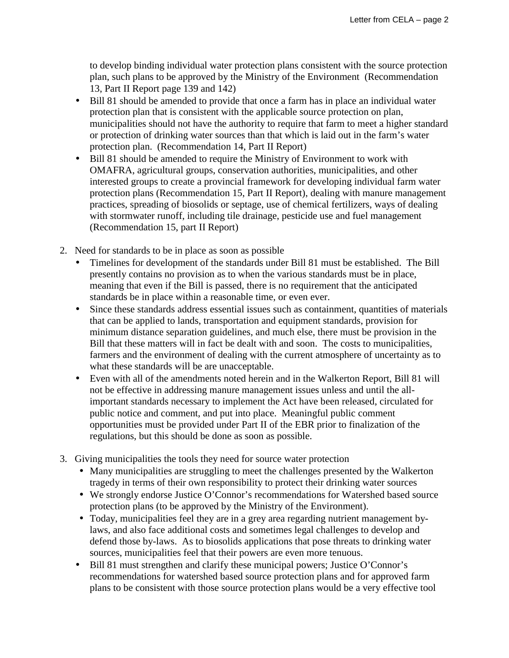to develop binding individual water protection plans consistent with the source protection plan, such plans to be approved by the Ministry of the Environment (Recommendation 13, Part II Report page 139 and 142)

- Bill 81 should be amended to provide that once a farm has in place an individual water protection plan that is consistent with the applicable source protection on plan, municipalities should not have the authority to require that farm to meet a higher standard or protection of drinking water sources than that which is laid out in the farm's water protection plan. (Recommendation 14, Part II Report)
- Bill 81 should be amended to require the Ministry of Environment to work with OMAFRA, agricultural groups, conservation authorities, municipalities, and other interested groups to create a provincial framework for developing individual farm water protection plans (Recommendation 15, Part II Report), dealing with manure management practices, spreading of biosolids or septage, use of chemical fertilizers, ways of dealing with stormwater runoff, including tile drainage, pesticide use and fuel management (Recommendation 15, part II Report)
- 2. Need for standards to be in place as soon as possible
	- Timelines for development of the standards under Bill 81 must be established. The Bill presently contains no provision as to when the various standards must be in place, meaning that even if the Bill is passed, there is no requirement that the anticipated standards be in place within a reasonable time, or even ever.
	- Since these standards address essential issues such as containment, quantities of materials that can be applied to lands, transportation and equipment standards, provision for minimum distance separation guidelines, and much else, there must be provision in the Bill that these matters will in fact be dealt with and soon. The costs to municipalities, farmers and the environment of dealing with the current atmosphere of uncertainty as to what these standards will be are unacceptable.
	- Even with all of the amendments noted herein and in the Walkerton Report, Bill 81 will not be effective in addressing manure management issues unless and until the allimportant standards necessary to implement the Act have been released, circulated for public notice and comment, and put into place. Meaningful public comment opportunities must be provided under Part II of the EBR prior to finalization of the regulations, but this should be done as soon as possible.
- 3. Giving municipalities the tools they need for source water protection
	- Many municipalities are struggling to meet the challenges presented by the Walkerton tragedy in terms of their own responsibility to protect their drinking water sources
	- We strongly endorse Justice O'Connor's recommendations for Watershed based source protection plans (to be approved by the Ministry of the Environment).
	- Today, municipalities feel they are in a grey area regarding nutrient management bylaws, and also face additional costs and sometimes legal challenges to develop and defend those by-laws. As to biosolids applications that pose threats to drinking water sources, municipalities feel that their powers are even more tenuous.
	- Bill 81 must strengthen and clarify these municipal powers; Justice O'Connor's recommendations for watershed based source protection plans and for approved farm plans to be consistent with those source protection plans would be a very effective tool